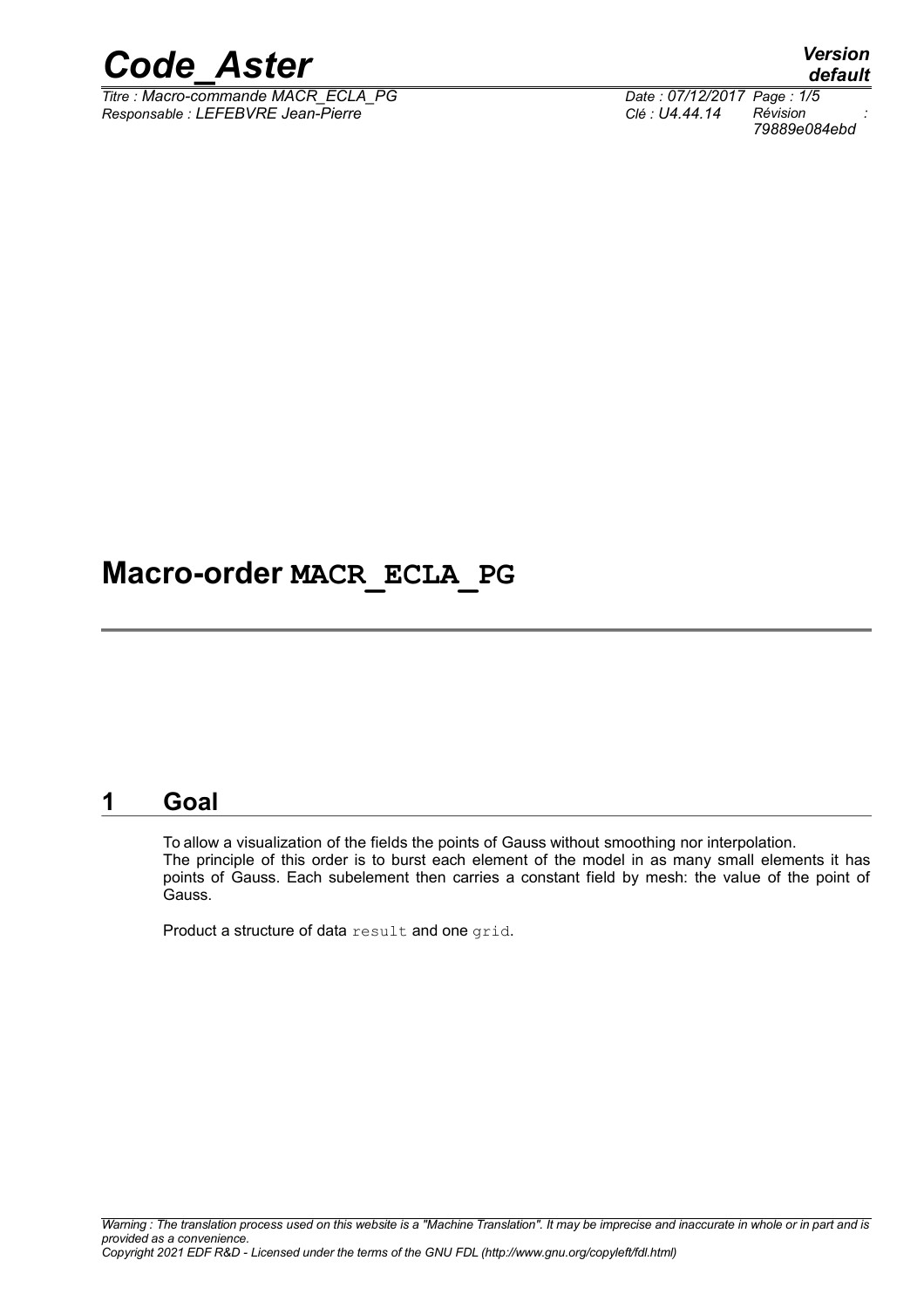

*Titre : Macro-commande MACR\_ECLA\_PG Date : 07/12/2017 Page : 1/5 Responsable : LEFEBVRE Jean-Pierre Clé : U4.44.14 Révision :*

*default 79889e084ebd*

# **Macro-order MACR\_ECLA\_PG**

# **1 Goal**

To allow a visualization of the fields the points of Gauss without smoothing nor interpolation. The principle of this order is to burst each element of the model in as many small elements it has points of Gauss. Each subelement then carries a constant field by mesh: the value of the point of Gauss.

Product a structure of data result and one grid.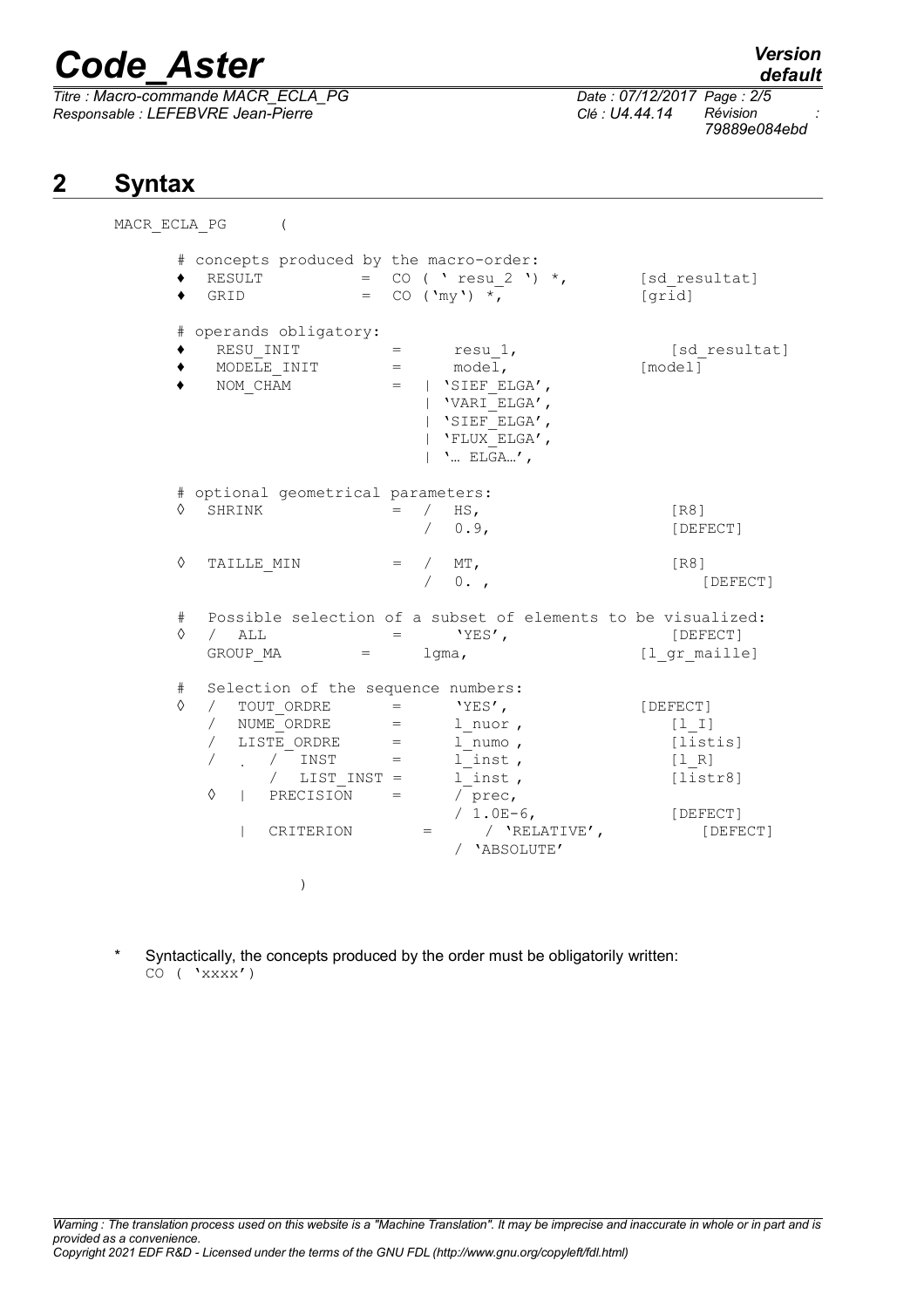# *Code\_Aster Version*

*Titre : Macro-commande MACR\_ECLA\_PG Date : 07/12/2017 Page : 2/5 Responsable : LEFEBVRE Jean-Pierre Clé : U4.44.14 Révision :*

*79889e084ebd*

# **2 Syntax**

| MACR ECLA PG |                                                             |                                                                                                                                                                                                                                                                            |                               |                                                                                                                               |                                                                              |
|--------------|-------------------------------------------------------------|----------------------------------------------------------------------------------------------------------------------------------------------------------------------------------------------------------------------------------------------------------------------------|-------------------------------|-------------------------------------------------------------------------------------------------------------------------------|------------------------------------------------------------------------------|
| ٠            | RESULT<br>GRID                                              | $=$<br>$=$                                                                                                                                                                                                                                                                 |                               | # concepts produced by the macro-order:<br>CO ( ' resu 2 ') $*$ ,<br>CO $(\mbox{'my'}\mbox{)}$ *,                             | [sd resultat]<br>[grid]                                                      |
| ٠            | RESU INIT<br>MODELE INIT<br>NOM CHAM                        | # operands obligatory:                                                                                                                                                                                                                                                     | $=$<br>$=$                    | resu 1,<br>model,<br>$=$   'SIEF ELGA',<br>  'VARI ELGA',<br>  'SIEF ELGA',<br>'FLUX ELGA',<br>$'$ ELGA',                     | [sd resultat]<br>[model]                                                     |
| ♦            | SHRINK                                                      | # optional geometrical parameters:                                                                                                                                                                                                                                         |                               | $=$ / HS,<br>0.9,                                                                                                             | [R8]<br>[DEFECT]                                                             |
| ♦            | TAILLE MIN                                                  |                                                                                                                                                                                                                                                                            |                               | $=$ / MT,<br>$0.$ ,                                                                                                           | [R8]<br>[DEFECT]                                                             |
| #<br>♦       | ALL<br>$\sqrt{2}$<br>GROUP MA                               | $=$                                                                                                                                                                                                                                                                        | $\mathbf{r}$ and $\mathbf{r}$ | Possible selection of a subset of elements to be visualized:<br>$'YES'$ ,<br>$1$ qma,                                         | [DEFECT]<br>[1 gr maille]                                                    |
| #<br>♦       | $\sqrt{2}$<br>$\sqrt{2}$<br>$\sqrt{2}$<br>♦<br>$\mathbf{L}$ | Selection of the sequence numbers:<br>TOUT ORDRE<br>NUME ORDRE<br>LISTE ORDRE<br>$\mathcal{L}(\mathcal{L}(\mathcal{L}))=\mathcal{L}(\mathcal{L}(\mathcal{L}))$<br>INST<br>$\sqrt{2}$<br>$\mathcal{L} = \mathcal{L} \mathcal{L}$<br>/ LIST INST =<br>PRECISION<br>CRITERION | $=$<br>$=$<br>$=$             | $'YES'$ ,<br>1 nuor,<br>$1$ numo,<br>l inst,<br>l inst,<br>/ prec,<br>/ $1.0E-6$ ,<br>/ $'RELATIVE'$ ,<br>$=$<br>/ 'ABSOLUTE' | [DEFECT]<br>[1 I]<br>[listis]<br>[1 R]<br>[liststr8]<br>[DEFECT]<br>[DEFECT] |
|              |                                                             | $\lambda$                                                                                                                                                                                                                                                                  |                               |                                                                                                                               |                                                                              |

\* Syntactically, the concepts produced by the order must be obligatorily written: CO ( 'xxxx')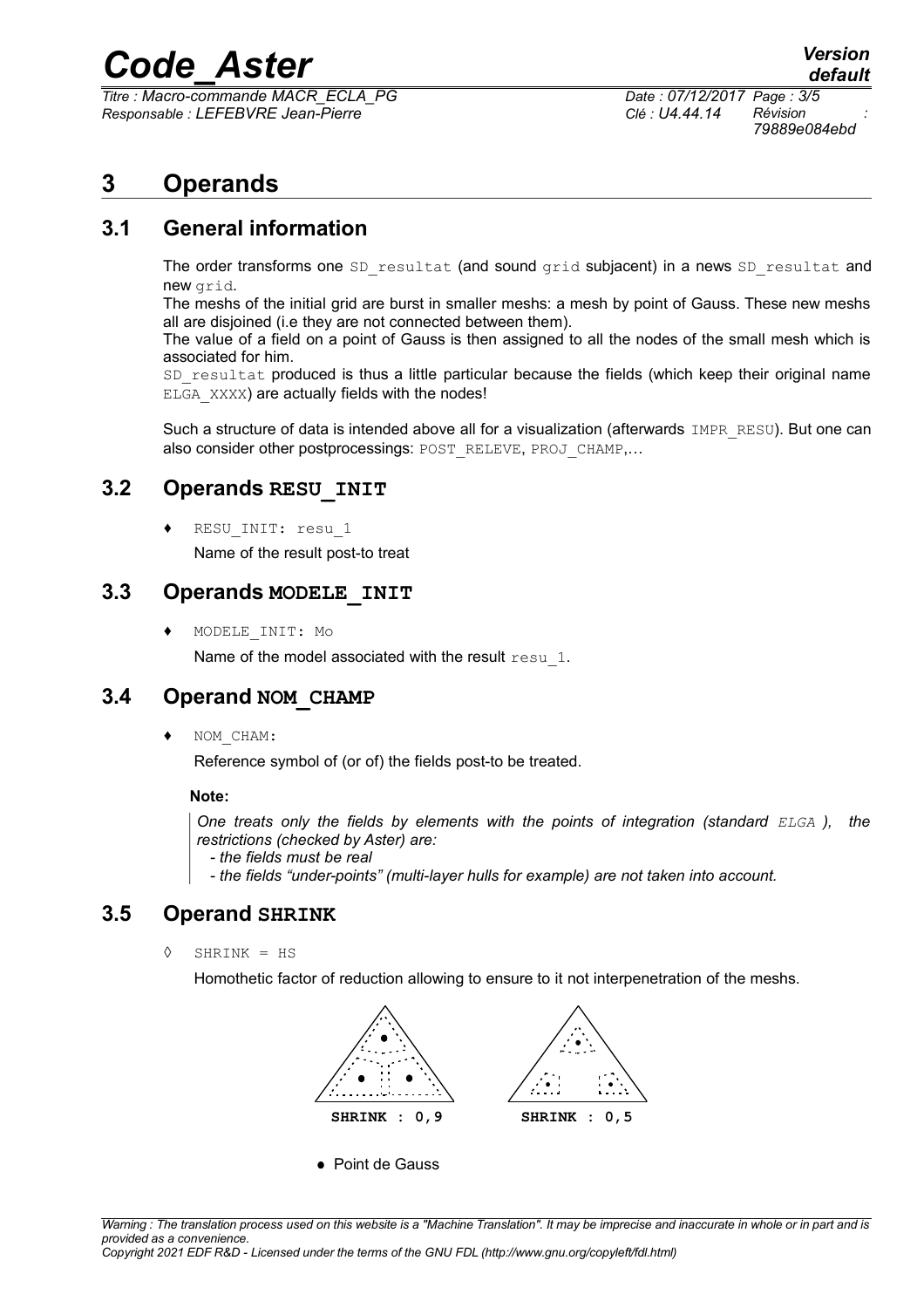# *Code\_Aster Version*

*Titre : Macro-commande MACR\_ECLA\_PG Date : 07/12/2017 Page : 3/5 Responsable : LEFEBVRE Jean-Pierre Clé : U4.44.14 Révision :*

*79889e084ebd*

# **3 Operands**

# **3.1 General information**

The order transforms one  $SD$  resultat (and sound grid subjacent) in a news  $SD$  resultat and new grid.

The meshs of the initial grid are burst in smaller meshs: a mesh by point of Gauss. These new meshs all are disjoined (i.e they are not connected between them).

The value of a field on a point of Gauss is then assigned to all the nodes of the small mesh which is associated for him.

SD resultat produced is thus a little particular because the fields (which keep their original name ELGA XXXX) are actually fields with the nodes!

Such a structure of data is intended above all for a visualization (afterwards IMPR RESU). But one can also consider other postprocessings: POST\_RELEVE, PROJ\_CHAMP,...

# **3.2 Operands RESU\_INIT**

RESU INIT: resu 1

Name of the result post-to treat

### **3.3 Operands MODELE\_INIT**

MODELE INIT: Mo

Name of the model associated with the result resu 1.

# **3.4 Operand NOM\_CHAMP**

NOM CHAM:

Reference symbol of (or of) the fields post-to be treated.

#### **Note:**

*One treats only the fields by elements with the points of integration (standard ELGA ), the restrictions (checked by Aster) are:*

 *- the fields must be real*

 *- the fields "under-points" (multi-layer hulls for example) are not taken into account.*

# **3.5 Operand SHRINK**

◊ SHRINK = HS

Homothetic factor of reduction allowing to ensure to it not interpenetration of the meshs.



Point de Gauss

*Copyright 2021 EDF R&D - Licensed under the terms of the GNU FDL (http://www.gnu.org/copyleft/fdl.html)*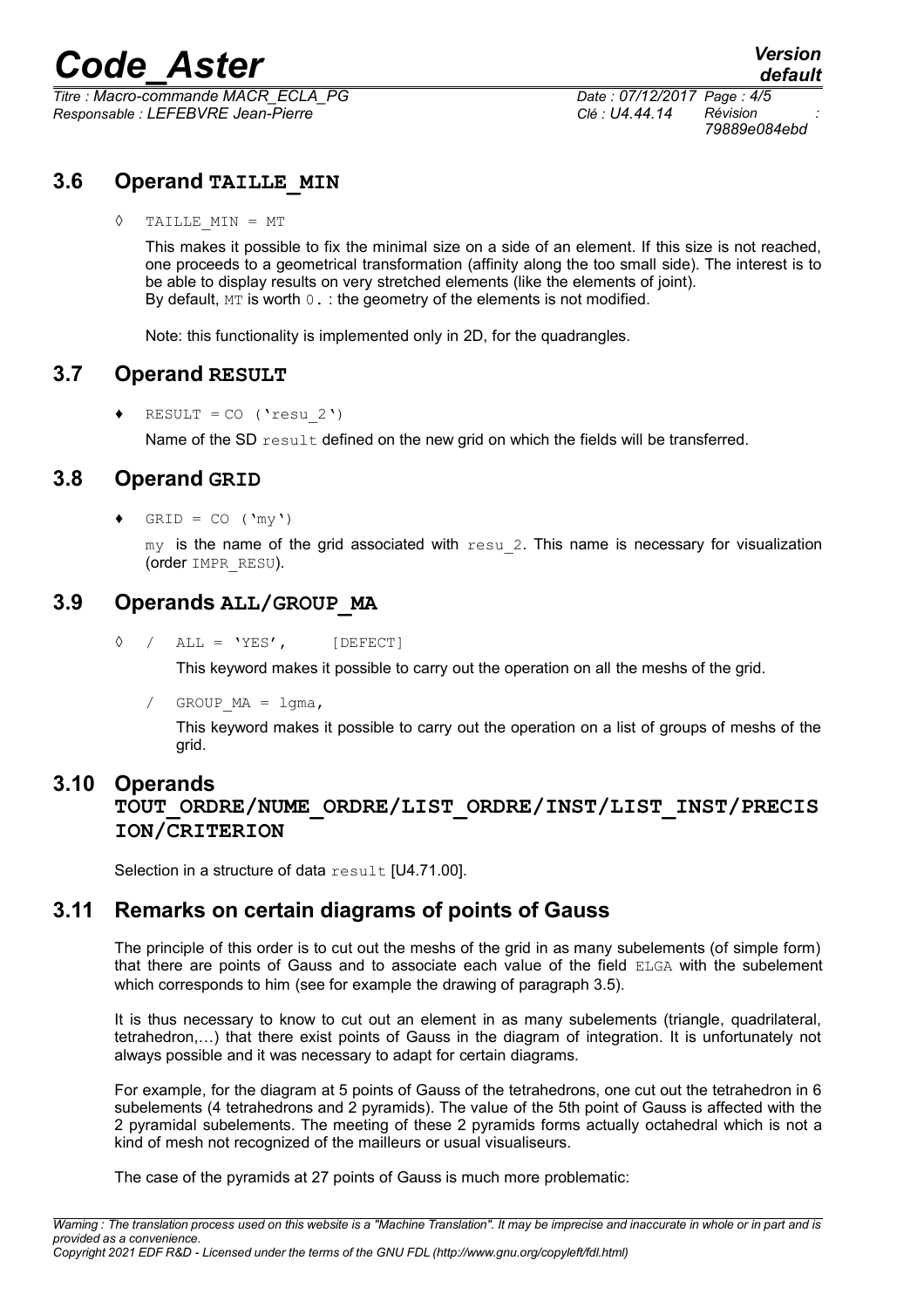# *Code\_Aster Version*

*Titre : Macro-commande MACR\_ECLA\_PG Date : 07/12/2017 Page : 4/5 Responsable : LEFEBVRE Jean-Pierre Clé : U4.44.14 Révision :*

*79889e084ebd*

# **3.6 Operand TAILLE\_MIN**

◊ TAILLE\_MIN = MT

This makes it possible to fix the minimal size on a side of an element. If this size is not reached, one proceeds to a geometrical transformation (affinity along the too small side). The interest is to be able to display results on very stretched elements (like the elements of joint). By default,  $MT$  is worth  $0.$ : the geometry of the elements is not modified.

Note: this functionality is implemented only in 2D, for the quadrangles.

# **3.7 Operand RESULT**

 $RESULT = CO$  ('resu 2')

Name of the SD result defined on the new grid on which the fields will be transferred.

# **3.8 Operand GRID**

 $GRID = CO ('my')$ 

 $my$  is the name of the grid associated with  $resu/2$ . This name is necessary for visualization (order IMPR\_RESU).

# **3.9 Operands ALL/GROUP\_MA**

 $\Diamond$  / ALL = 'YES', [DEFECT]

This keyword makes it possible to carry out the operation on all the meshs of the grid.

/  $GROUP MA = 1gma$ ,

This keyword makes it possible to carry out the operation on a list of groups of meshs of the grid.

#### **3.10 Operands**

### **TOUT\_ORDRE/NUME\_ORDRE/LIST\_ORDRE/INST/LIST\_INST/PRECIS ION/CRITERION**

Selection in a structure of data result [U4.71.00].

# **3.11 Remarks on certain diagrams of points of Gauss**

The principle of this order is to cut out the meshs of the grid in as many subelements (of simple form) that there are points of Gauss and to associate each value of the field ELGA with the subelement which corresponds to him (see for example the drawing of paragraph 3.5).

It is thus necessary to know to cut out an element in as many subelements (triangle, quadrilateral, tetrahedron,…) that there exist points of Gauss in the diagram of integration. It is unfortunately not always possible and it was necessary to adapt for certain diagrams.

For example, for the diagram at 5 points of Gauss of the tetrahedrons, one cut out the tetrahedron in 6 subelements (4 tetrahedrons and 2 pyramids). The value of the 5th point of Gauss is affected with the 2 pyramidal subelements. The meeting of these 2 pyramids forms actually octahedral which is not a kind of mesh not recognized of the mailleurs or usual visualiseurs.

The case of the pyramids at 27 points of Gauss is much more problematic: